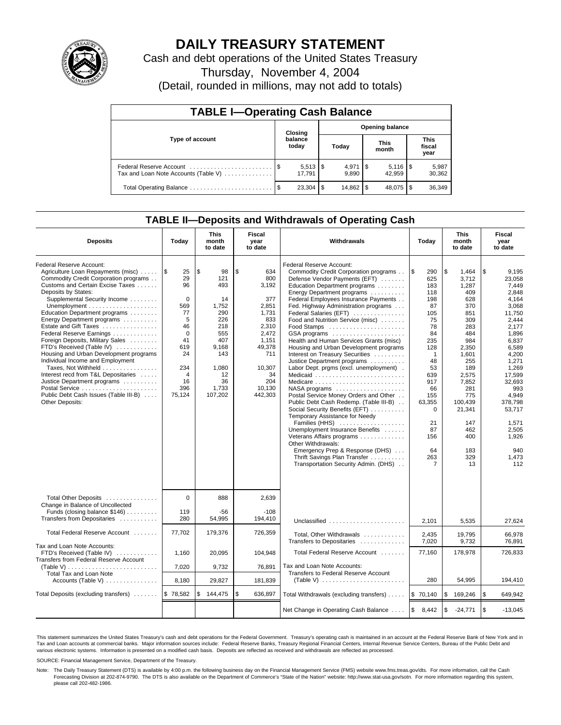

# **DAILY TREASURY STATEMENT**

Cash and debt operations of the United States Treasury

Thursday, November 4, 2004

(Detail, rounded in millions, may not add to totals)

| <b>TABLE I-Operating Cash Balance</b>                           |  |                                 |                        |                    |  |                      |     |                               |  |  |
|-----------------------------------------------------------------|--|---------------------------------|------------------------|--------------------|--|----------------------|-----|-------------------------------|--|--|
|                                                                 |  | Closing                         | <b>Opening balance</b> |                    |  |                      |     |                               |  |  |
| Type of account                                                 |  | balance<br>today                |                        | Today              |  | <b>This</b><br>month |     | <b>This</b><br>fiscal<br>year |  |  |
| Federal Reserve Account<br>Tax and Loan Note Accounts (Table V) |  | $5,513$ $\frac{1}{3}$<br>17.791 |                        | $4.971$ S<br>9.890 |  | 42.959               |     | 5,987<br>30,362               |  |  |
| Total Operating Balance                                         |  | 23.304                          | \$                     |                    |  | 48.075               | 1\$ | 36,349                        |  |  |

## **TABLE II—Deposits and Withdrawals of Operating Cash**

| <b>Deposits</b>                                                                                                                                                                                                                                                                                                                                                                                                                                                                                                                                                                                                                | Today                                                                                                                               | <b>This</b><br>month<br>to date                                                                                                   | <b>Fiscal</b><br>year<br>to date                                                                                                                  | Withdrawals                                                                                                                                                                                                                                                                                                                                                                                                                                                                                                                                                                                                                                                                                                                                                                                                                                                                                                                                           | Today                                                                                                                                                                                             | <b>This</b><br>month<br>to date                                                                                                                                                                                     | <b>Fiscal</b><br>year<br>to date                                                                                                                                                                                                                       |
|--------------------------------------------------------------------------------------------------------------------------------------------------------------------------------------------------------------------------------------------------------------------------------------------------------------------------------------------------------------------------------------------------------------------------------------------------------------------------------------------------------------------------------------------------------------------------------------------------------------------------------|-------------------------------------------------------------------------------------------------------------------------------------|-----------------------------------------------------------------------------------------------------------------------------------|---------------------------------------------------------------------------------------------------------------------------------------------------|-------------------------------------------------------------------------------------------------------------------------------------------------------------------------------------------------------------------------------------------------------------------------------------------------------------------------------------------------------------------------------------------------------------------------------------------------------------------------------------------------------------------------------------------------------------------------------------------------------------------------------------------------------------------------------------------------------------------------------------------------------------------------------------------------------------------------------------------------------------------------------------------------------------------------------------------------------|---------------------------------------------------------------------------------------------------------------------------------------------------------------------------------------------------|---------------------------------------------------------------------------------------------------------------------------------------------------------------------------------------------------------------------|--------------------------------------------------------------------------------------------------------------------------------------------------------------------------------------------------------------------------------------------------------|
| Federal Reserve Account:<br>Agriculture Loan Repayments (misc)<br>Commodity Credit Corporation programs<br>Customs and Certain Excise Taxes<br>Deposits by States:<br>Supplemental Security Income<br>Education Department programs<br>Energy Department programs<br>Estate and Gift Taxes<br>Federal Reserve Earnings<br>Foreign Deposits, Military Sales<br>FTD's Received (Table IV)<br>Housing and Urban Development programs<br>Individual Income and Employment<br>Taxes, Not Withheld<br>Interest recd from T&L Depositaries<br>Justice Department programs<br>Public Debt Cash Issues (Table III-B)<br>Other Deposits: | <b>S</b><br>25<br>29<br>96<br>$\Omega$<br>569<br>77<br>5<br>46<br>$\mathbf 0$<br>41<br>619<br>24<br>234<br>4<br>16<br>396<br>75,124 | \$<br>98<br>121<br>493<br>14<br>1,752<br>290<br>226<br>218<br>555<br>407<br>9,168<br>143<br>1,080<br>12<br>36<br>1,733<br>107,202 | \$<br>634<br>800<br>3,192<br>377<br>2,851<br>1,731<br>833<br>2,310<br>2,472<br>1.151<br>49,378<br>711<br>10,307<br>34<br>204<br>10,130<br>442,303 | Federal Reserve Account:<br>Commodity Credit Corporation programs<br>Defense Vendor Payments (EFT)<br>Education Department programs<br>Energy Department programs<br>Federal Employees Insurance Payments<br>Fed. Highway Administration programs<br>Federal Salaries (EFT)<br>Food and Nutrition Service (misc)<br>GSA programs<br>Health and Human Services Grants (misc)<br>Housing and Urban Development programs<br>Interest on Treasury Securities<br>Justice Department programs<br>Labor Dept. prgms (excl. unemployment).<br>Medicaid<br>Medicare<br>NASA programs<br>Postal Service Money Orders and Other<br>Public Debt Cash Redemp. (Table III-B)<br>Social Security Benefits (EFT)<br>Temporary Assistance for Needy<br>Families (HHS)<br>Unemployment Insurance Benefits<br>Veterans Affairs programs<br>Other Withdrawals:<br>Emergency Prep & Response (DHS)<br>Thrift Savings Plan Transfer<br>Transportation Security Admin. (DHS) | l \$<br>290<br>625<br>183<br>118<br>198<br>87<br>105<br>75<br>78<br>84<br>235<br>128<br>$\overline{1}$<br>48<br>53<br>639<br>917<br>66<br>155<br>63,355<br>0<br>21<br>87<br>156<br>64<br>263<br>7 | \$<br>1,464<br>3,712<br>1,287<br>409<br>628<br>370<br>851<br>309<br>283<br>484<br>984<br>2,350<br>1,601<br>255<br>189<br>2,575<br>7,852<br>281<br>775<br>100.439<br>21,341<br>147<br>462<br>400<br>183<br>329<br>13 | \$<br>9,195<br>23.058<br>7.449<br>2.848<br>4,164<br>3,068<br>11.750<br>2,444<br>2,177<br>1.896<br>6.837<br>6,589<br>4,200<br>1,271<br>1,269<br>17,599<br>32,693<br>993<br>4,949<br>378.798<br>53.717<br>1,571<br>2,505<br>1,926<br>940<br>1,473<br>112 |
| Total Other Deposits<br>Change in Balance of Uncollected<br>Funds (closing balance \$146)<br>Transfers from Depositaries                                                                                                                                                                                                                                                                                                                                                                                                                                                                                                       | $\Omega$<br>119<br>280                                                                                                              | 888<br>$-56$<br>54,995                                                                                                            | 2,639<br>$-108$<br>194,410                                                                                                                        | Unclassified                                                                                                                                                                                                                                                                                                                                                                                                                                                                                                                                                                                                                                                                                                                                                                                                                                                                                                                                          | 2,101                                                                                                                                                                                             | 5,535                                                                                                                                                                                                               | 27,624                                                                                                                                                                                                                                                 |
| Total Federal Reserve Account                                                                                                                                                                                                                                                                                                                                                                                                                                                                                                                                                                                                  | 77,702                                                                                                                              | 179,376                                                                                                                           | 726,359                                                                                                                                           | Total, Other Withdrawals<br>Transfers to Depositaries                                                                                                                                                                                                                                                                                                                                                                                                                                                                                                                                                                                                                                                                                                                                                                                                                                                                                                 | 2,435<br>7,020                                                                                                                                                                                    | 19.795<br>9,732                                                                                                                                                                                                     | 66.978<br>76.891                                                                                                                                                                                                                                       |
| Tax and Loan Note Accounts:<br>FTD's Received (Table IV)<br>Transfers from Federal Reserve Account<br>(Table V)<br>Total Tax and Loan Note                                                                                                                                                                                                                                                                                                                                                                                                                                                                                     | 1,160<br>7,020                                                                                                                      | 20.095<br>9,732                                                                                                                   | 104.948<br>76,891                                                                                                                                 | Total Federal Reserve Account<br>Tax and Loan Note Accounts:<br>Transfers to Federal Reserve Account                                                                                                                                                                                                                                                                                                                                                                                                                                                                                                                                                                                                                                                                                                                                                                                                                                                  | 77,160                                                                                                                                                                                            | 178,978                                                                                                                                                                                                             | 726,833                                                                                                                                                                                                                                                |
| Accounts (Table V) $\dots \dots \dots \dots$                                                                                                                                                                                                                                                                                                                                                                                                                                                                                                                                                                                   | 8,180                                                                                                                               | 29,827                                                                                                                            | 181,839                                                                                                                                           |                                                                                                                                                                                                                                                                                                                                                                                                                                                                                                                                                                                                                                                                                                                                                                                                                                                                                                                                                       | 280                                                                                                                                                                                               | 54,995                                                                                                                                                                                                              | 194,410                                                                                                                                                                                                                                                |
| Total Deposits (excluding transfers)                                                                                                                                                                                                                                                                                                                                                                                                                                                                                                                                                                                           | \$78,582                                                                                                                            | \$<br>144,475                                                                                                                     | \$<br>636,897                                                                                                                                     | Total Withdrawals (excluding transfers)                                                                                                                                                                                                                                                                                                                                                                                                                                                                                                                                                                                                                                                                                                                                                                                                                                                                                                               | \$70,140                                                                                                                                                                                          | \$<br>169,246                                                                                                                                                                                                       | <b>S</b><br>649,942                                                                                                                                                                                                                                    |
|                                                                                                                                                                                                                                                                                                                                                                                                                                                                                                                                                                                                                                |                                                                                                                                     |                                                                                                                                   |                                                                                                                                                   | Net Change in Operating Cash Balance                                                                                                                                                                                                                                                                                                                                                                                                                                                                                                                                                                                                                                                                                                                                                                                                                                                                                                                  | \$<br>8,442                                                                                                                                                                                       | \$<br>$-24,771$                                                                                                                                                                                                     | \$<br>$-13,045$                                                                                                                                                                                                                                        |

This statement summarizes the United States Treasury's cash and debt operations for the Federal Government. Treasury's operating cash is maintained in an account at the Federal Reserve Bank of New York and in Tax and Loan accounts at commercial banks. Major information sources include: Federal Reserve Banks, Treasury Regional Financial Centers, Internal Revenue Service Centers, Bureau of the Public Debt and<br>various electronic s

SOURCE: Financial Management Service, Department of the Treasury.

Note: The Daily Treasury Statement (DTS) is available by 4:00 p.m. the following business day on the Financial Management Service (FMS) website www.fms.treas.gov/dts. For more information, call the Cash Forecasting Division at 202-874-9790. The DTS is also available on the Department of Commerce's "State of the Nation" website: http://www.stat-usa.gov/sotn. For more information regarding this system, please call 202-482-1986.